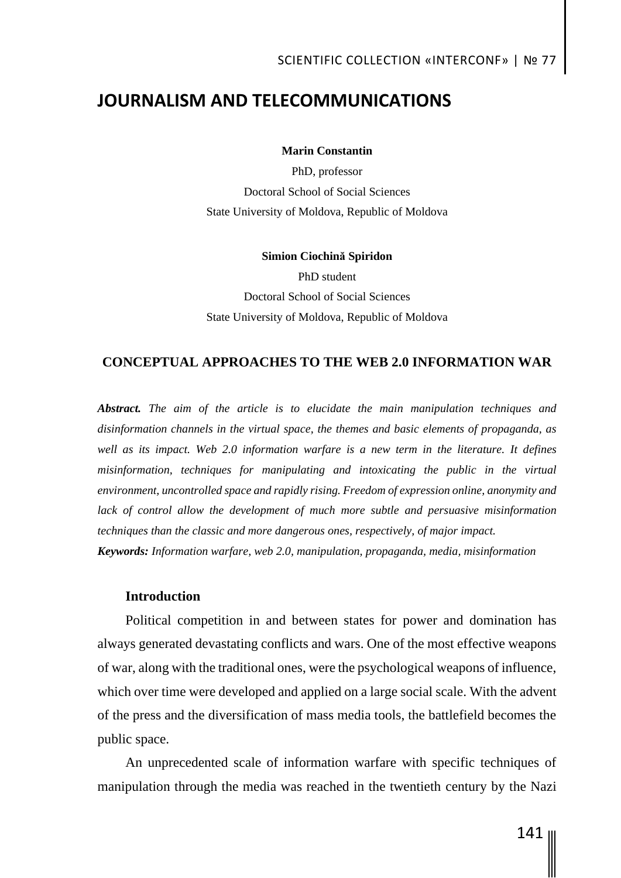# **JOURNALISM AND TELECOMMUNICATIONS**

#### **Marin Constantin**

PhD, professor Doctoral School of Social Sciences State University of Moldova, Republic of Moldova

#### **Simion Ciochină Spiridon**

PhD student Doctoral School of Social Sciences State University of Moldova, Republic of Moldova

### **CONCEPTUAL APPROACHES TO THE WEB 2.0 INFORMATION WAR**

*Abstract. The aim of the article is to elucidate the main manipulation techniques and disinformation channels in the virtual space, the themes and basic elements of propaganda, as*  well as its impact. Web 2.0 information warfare is a new term in the literature. It defines *misinformation, techniques for manipulating and intoxicating the public in the virtual environment, uncontrolled space and rapidly rising. Freedom of expression online, anonymity and*  lack of control allow the development of much more subtle and persuasive misinformation *techniques than the classic and more dangerous ones, respectively, of major impact. Keywords: Information warfare, web 2.0, manipulation, propaganda, media, misinformation*

### **Introduction**

Political competition in and between states for power and domination has always generated devastating conflicts and wars. One of the most effective weapons of war, along with the traditional ones, were the psychological weapons of influence, which over time were developed and applied on a large social scale. With the advent of the press and the diversification of mass media tools, the battlefield becomes the public space.

An unprecedented scale of information warfare with specific techniques of manipulation through the media was reached in the twentieth century by the Nazi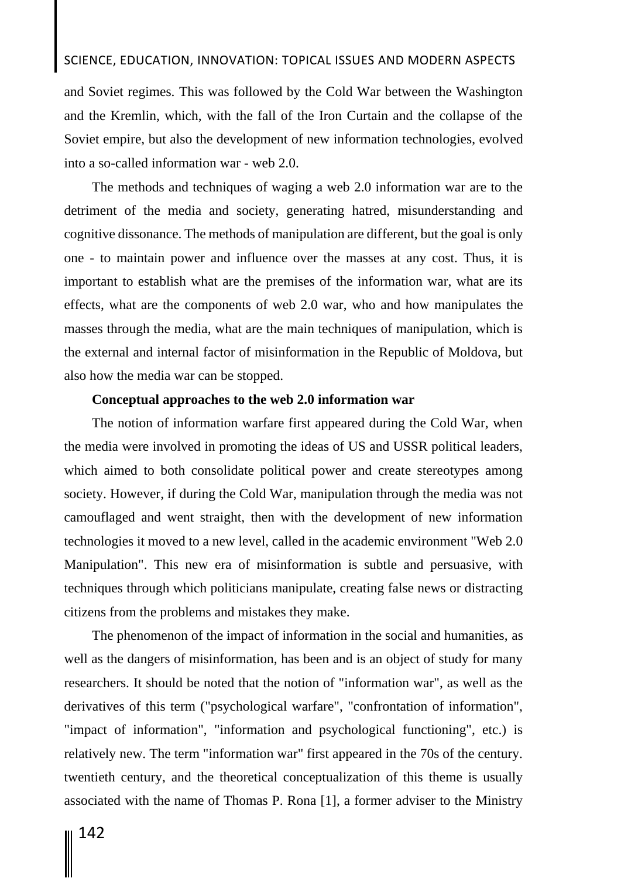## SCIENCE, EDUCATION, INNOVATION: TOPICAL ISSUES AND MODERN ASPECTS

and Soviet regimes. This was followed by the Cold War between the Washington and the Kremlin, which, with the fall of the Iron Curtain and the collapse of the Soviet empire, but also the development of new information technologies, evolved into a so-called information war - web 2.0.

The methods and techniques of waging a web 2.0 information war are to the detriment of the media and society, generating hatred, misunderstanding and cognitive dissonance. The methods of manipulation are different, but the goal is only one - to maintain power and influence over the masses at any cost. Thus, it is important to establish what are the premises of the information war, what are its effects, what are the components of web 2.0 war, who and how manipulates the masses through the media, what are the main techniques of manipulation, which is the external and internal factor of misinformation in the Republic of Moldova, but also how the media war can be stopped.

### **Conceptual approaches to the web 2.0 information war**

The notion of information warfare first appeared during the Cold War, when the media were involved in promoting the ideas of US and USSR political leaders, which aimed to both consolidate political power and create stereotypes among society. However, if during the Cold War, manipulation through the media was not camouflaged and went straight, then with the development of new information technologies it moved to a new level, called in the academic environment "Web 2.0 Manipulation". This new era of misinformation is subtle and persuasive, with techniques through which politicians manipulate, creating false news or distracting citizens from the problems and mistakes they make.

The phenomenon of the impact of information in the social and humanities, as well as the dangers of misinformation, has been and is an object of study for many researchers. It should be noted that the notion of "information war", as well as the derivatives of this term ("psychological warfare", "confrontation of information", "impact of information", "information and psychological functioning", etc.) is relatively new. The term "information war" first appeared in the 70s of the century. twentieth century, and the theoretical conceptualization of this theme is usually associated with the name of Thomas P. Rona [1], a former adviser to the Ministry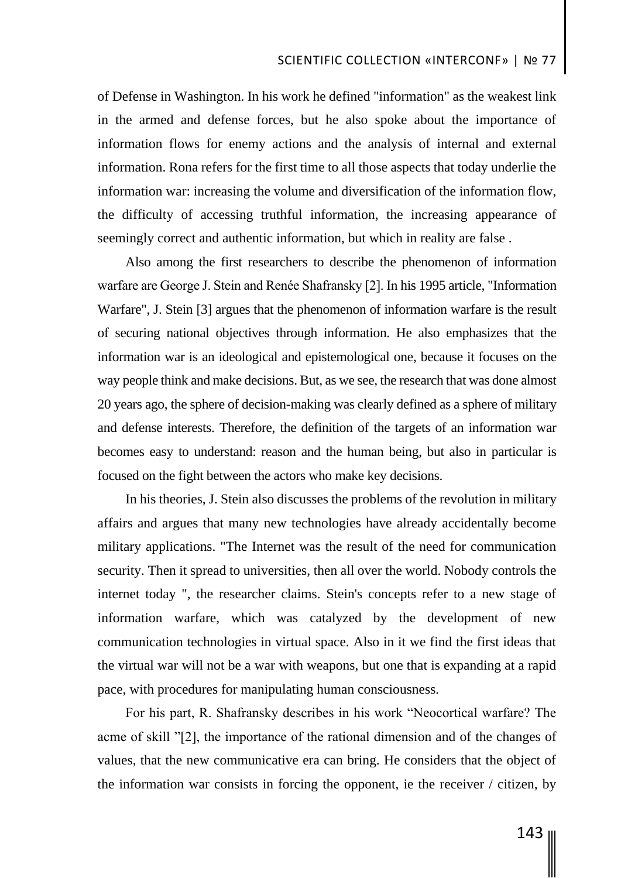of Defense in Washington. In his work he defined "information" as the weakest link in the armed and defense forces, but he also spoke about the importance of information flows for enemy actions and the analysis of internal and external information. Rona refers for the first time to all those aspects that today underlie the information war: increasing the volume and diversification of the information flow, the difficulty of accessing truthful information, the increasing appearance of seemingly correct and authentic information, but which in reality are false .

Also among the first researchers to describe the phenomenon of information warfare are George J. Stein and Renée Shafransky [2]. In his 1995 article, "Information Warfare", J. Stein [3] argues that the phenomenon of information warfare is the result of securing national objectives through information. He also emphasizes that the information war is an ideological and epistemological one, because it focuses on the way people think and make decisions. But, as we see, the research that was done almost 20 years ago, the sphere of decision-making was clearly defined as a sphere of military and defense interests. Therefore, the definition of the targets of an information war becomes easy to understand: reason and the human being, but also in particular is focused on the fight between the actors who make key decisions.

In his theories, J. Stein also discusses the problems of the revolution in military affairs and argues that many new technologies have already accidentally become military applications. "The Internet was the result of the need for communication security. Then it spread to universities, then all over the world. Nobody controls the internet today ", the researcher claims. Stein's concepts refer to a new stage of information warfare, which was catalyzed by the development of new communication technologies in virtual space. Also in it we find the first ideas that the virtual war will not be a war with weapons, but one that is expanding at a rapid pace, with procedures for manipulating human consciousness.

For his part, R. Shafransky describes in his work "Neocortical warfare? The acme of skill "[2], the importance of the rational dimension and of the changes of values, that the new communicative era can bring. He considers that the object of the information war consists in forcing the opponent, ie the receiver / citizen, by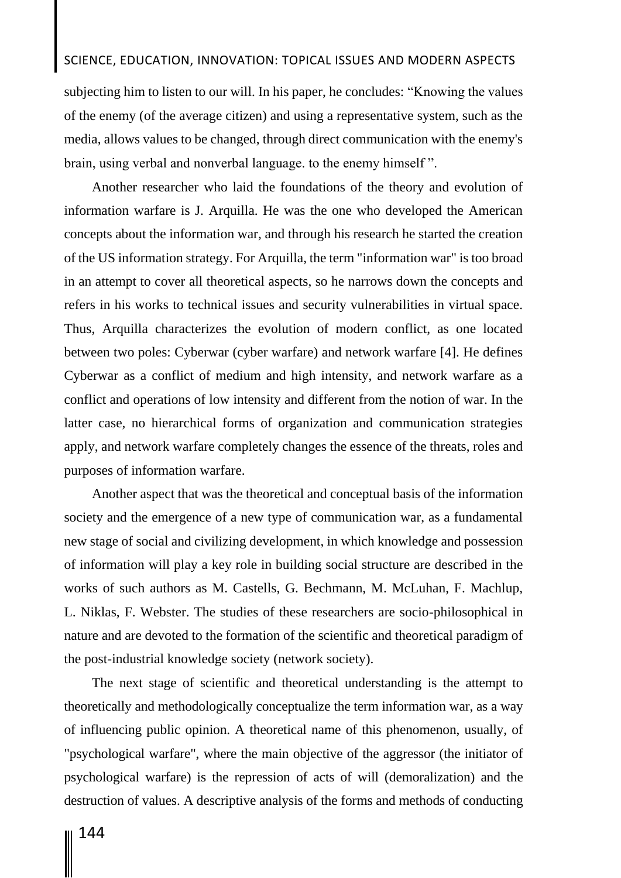## SCIENCE, EDUCATION, INNOVATION: TOPICAL ISSUES AND MODERN ASPECTS

subjecting him to listen to our will. In his paper, he concludes: "Knowing the values of the enemy (of the average citizen) and using a representative system, such as the media, allows values to be changed, through direct communication with the enemy's brain, using verbal and nonverbal language. to the enemy himself ".

Another researcher who laid the foundations of the theory and evolution of information warfare is J. Arquilla. He was the one who developed the American concepts about the information war, and through his research he started the creation of the US information strategy. For Arquilla, the term "information war" is too broad in an attempt to cover all theoretical aspects, so he narrows down the concepts and refers in his works to technical issues and security vulnerabilities in virtual space. Thus, Arquilla characterizes the evolution of modern conflict, as one located between two poles: Cyberwar (cyber warfare) and network warfare [4]. He defines Cyberwar as a conflict of medium and high intensity, and network warfare as a conflict and operations of low intensity and different from the notion of war. In the latter case, no hierarchical forms of organization and communication strategies apply, and network warfare completely changes the essence of the threats, roles and purposes of information warfare.

Another aspect that was the theoretical and conceptual basis of the information society and the emergence of a new type of communication war, as a fundamental new stage of social and civilizing development, in which knowledge and possession of information will play a key role in building social structure are described in the works of such authors as M. Castells, G. Bechmann, M. McLuhan, F. Machlup, L. Niklas, F. Webster. The studies of these researchers are socio-philosophical in nature and are devoted to the formation of the scientific and theoretical paradigm of the post-industrial knowledge society (network society).

The next stage of scientific and theoretical understanding is the attempt to theoretically and methodologically conceptualize the term information war, as a way of influencing public opinion. A theoretical name of this phenomenon, usually, of "psychological warfare", where the main objective of the aggressor (the initiator of psychological warfare) is the repression of acts of will (demoralization) and the destruction of values. A descriptive analysis of the forms and methods of conducting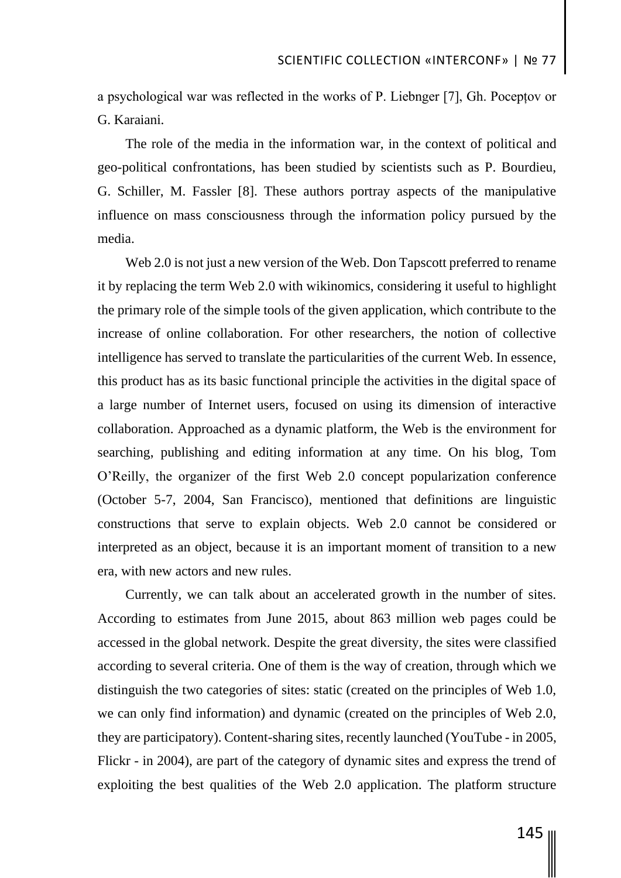a psychological war was reflected in the works of P. Liebnger [7], Gh. Pocepțov or G. Karaiani.

The role of the media in the information war, in the context of political and geo-political confrontations, has been studied by scientists such as P. Bourdieu, G. Schiller, M. Fassler [8]. These authors portray aspects of the manipulative influence on mass consciousness through the information policy pursued by the media.

Web 2.0 is not just a new version of the Web. Don Tapscott preferred to rename it by replacing the term Web 2.0 with wikinomics, considering it useful to highlight the primary role of the simple tools of the given application, which contribute to the increase of online collaboration. For other researchers, the notion of collective intelligence has served to translate the particularities of the current Web. In essence, this product has as its basic functional principle the activities in the digital space of a large number of Internet users, focused on using its dimension of interactive collaboration. Approached as a dynamic platform, the Web is the environment for searching, publishing and editing information at any time. On his blog, Tom O'Reilly, the organizer of the first Web 2.0 concept popularization conference (October 5-7, 2004, San Francisco), mentioned that definitions are linguistic constructions that serve to explain objects. Web 2.0 cannot be considered or interpreted as an object, because it is an important moment of transition to a new era, with new actors and new rules.

Currently, we can talk about an accelerated growth in the number of sites. According to estimates from June 2015, about 863 million web pages could be accessed in the global network. Despite the great diversity, the sites were classified according to several criteria. One of them is the way of creation, through which we distinguish the two categories of sites: static (created on the principles of Web 1.0, we can only find information) and dynamic (created on the principles of Web 2.0, they are participatory). Content-sharing sites, recently launched (YouTube - in 2005, Flickr - in 2004), are part of the category of dynamic sites and express the trend of exploiting the best qualities of the Web 2.0 application. The platform structure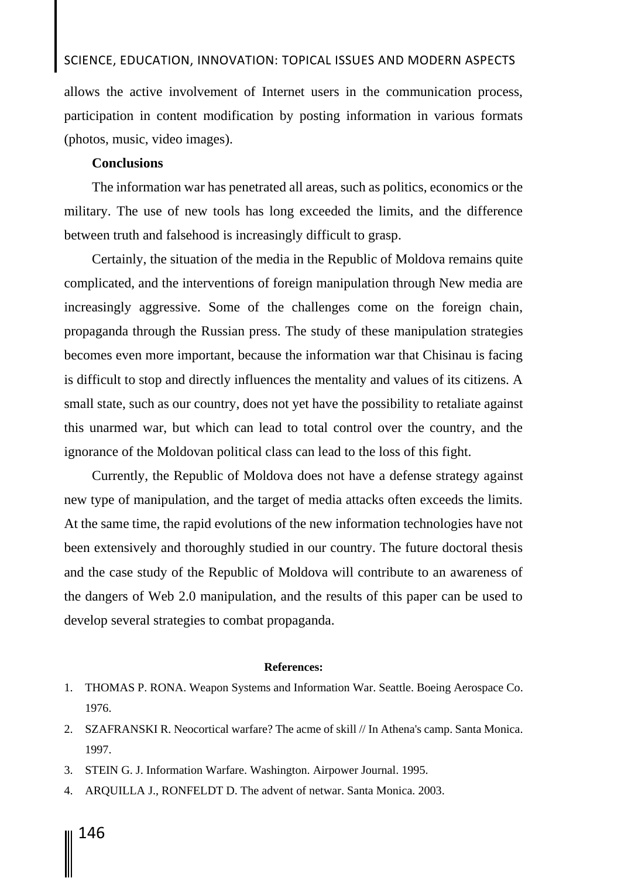## SCIENCE, EDUCATION, INNOVATION: TOPICAL ISSUES AND MODERN ASPECTS

allows the active involvement of Internet users in the communication process, participation in content modification by posting information in various formats (photos, music, video images).

### **Conclusions**

The information war has penetrated all areas, such as politics, economics or the military. The use of new tools has long exceeded the limits, and the difference between truth and falsehood is increasingly difficult to grasp.

Certainly, the situation of the media in the Republic of Moldova remains quite complicated, and the interventions of foreign manipulation through New media are increasingly aggressive. Some of the challenges come on the foreign chain, propaganda through the Russian press. The study of these manipulation strategies becomes even more important, because the information war that Chisinau is facing is difficult to stop and directly influences the mentality and values of its citizens. A small state, such as our country, does not yet have the possibility to retaliate against this unarmed war, but which can lead to total control over the country, and the ignorance of the Moldovan political class can lead to the loss of this fight.

Currently, the Republic of Moldova does not have a defense strategy against new type of manipulation, and the target of media attacks often exceeds the limits. At the same time, the rapid evolutions of the new information technologies have not been extensively and thoroughly studied in our country. The future doctoral thesis and the case study of the Republic of Moldova will contribute to an awareness of the dangers of Web 2.0 manipulation, and the results of this paper can be used to develop several strategies to combat propaganda.

#### **References:**

- 1. THOMAS P. RONA. Weapon Systems and Information War. Seattle. Boeing Aerospace Co. 1976.
- 2. SZAFRANSKI R. Neocortical warfare? The acme of skill // In Athena's camp. Santa Monica. 1997.
- 3. STEIN G. J. Information Warfare. Washington. Airpower Journal. 1995.
- 4. ARQUILLA J., RONFELDT D. The advent of netwar. Santa Monica. 2003.